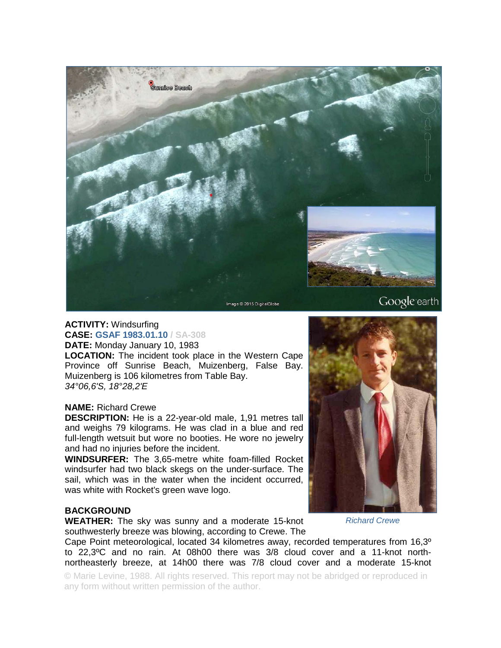

### **ACTIVITY:** Windsurfing **CASE: GSAF 1983.01.10 / SA-308 DATE:** Monday January 10, 1983

**LOCATION:** The incident took place in the Western Cape Province off Sunrise Beach, Muizenberg, False Bay. Muizenberg is 106 kilometres from Table Bay. *34°06,6'S, 18°28,2'E* 

# **NAME:** Richard Crewe

**DESCRIPTION:** He is a 22-year-old male, 1,91 metres tall and weighs 79 kilograms. He was clad in a blue and red full-length wetsuit but wore no booties. He wore no jewelry and had no injuries before the incident.

**WINDSURFER:** The 3,65-metre white foam-filled Rocket windsurfer had two black skegs on the under-surface. The sail, which was in the water when the incident occurred, was white with Rocket's green wave logo.

# **BACKGROUND**

**WEATHER:** The sky was sunny and a moderate 15-knot southwesterly breeze was blowing, according to Crewe. The

Cape Point meteorological, located 34 kilometres away, recorded temperatures from 16,3º to 22,3ºC and no rain. At 08h00 there was 3/8 cloud cover and a 11-knot northnortheasterly breeze, at 14h00 there was 7/8 cloud cover and a moderate 15-knot

© Marie Levine, 1988. All rights reserved. This report may not be abridged or reproduced in any form without written permission of the author.

### *Richard Crewe*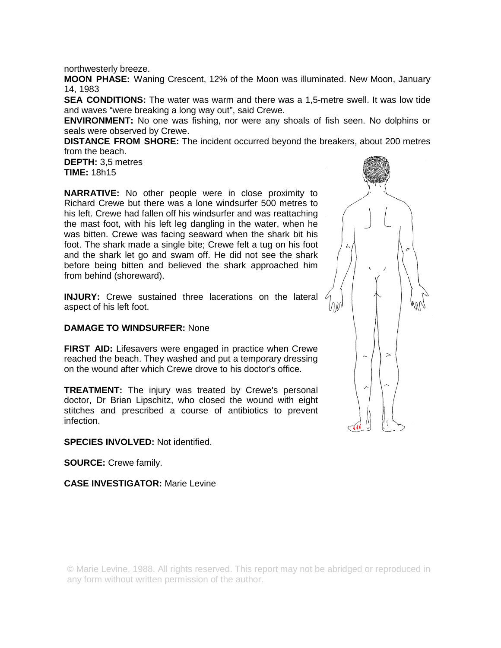northwesterly breeze.

**MOON PHASE:** Waning Crescent, 12% of the Moon was illuminated. New Moon, January 14, 1983

**SEA CONDITIONS:** The water was warm and there was a 1,5-metre swell. It was low tide and waves "were breaking a long way out", said Crewe.

**ENVIRONMENT:** No one was fishing, nor were any shoals of fish seen. No dolphins or seals were observed by Crewe.

**DISTANCE FROM SHORE:** The incident occurred beyond the breakers, about 200 metres from the beach.

**DEPTH:** 3,5 metres **TIME:** 18h15

**NARRATIVE:** No other people were in close proximity to Richard Crewe but there was a lone windsurfer 500 metres to his left. Crewe had fallen off his windsurfer and was reattaching the mast foot, with his left leg dangling in the water, when he was bitten. Crewe was facing seaward when the shark bit his foot. The shark made a single bite; Crewe felt a tug on his foot and the shark let go and swam off. He did not see the shark before being bitten and believed the shark approached him from behind (shoreward).

**INJURY:** Crewe sustained three lacerations on the lateral aspect of his left foot.

# **DAMAGE TO WINDSURFER:** None

**FIRST AID:** Lifesavers were engaged in practice when Crewe reached the beach. They washed and put a temporary dressing on the wound after which Crewe drove to his doctor's office.

**TREATMENT:** The injury was treated by Crewe's personal doctor, Dr Brian Lipschitz, who closed the wound with eight stitches and prescribed a course of antibiotics to prevent infection.

**SPECIES INVOLVED:** Not identified.

**SOURCE:** Crewe family.

**CASE INVESTIGATOR:** Marie Levine



© Marie Levine, 1988. All rights reserved. This report may not be abridged or reproduced in any form without written permission of the author.